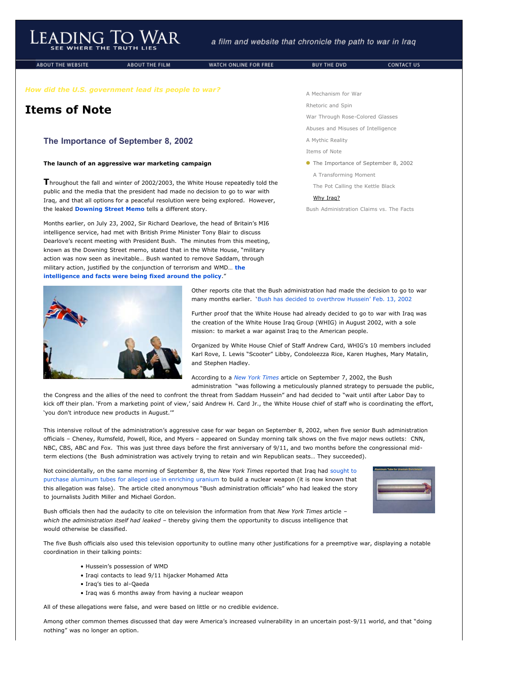# Leading To War

ABOUT THE WEBSITE

ABOUT THE FILM

WATCH ONLINE FOR FREE

## **Items of Note**

### **The Importance of September 8, 2002**

#### **The launch of an aggressive war marketing campaign**

**T**hroughout the fall and winter of 2002/2003, the White House repeatedly told the public and the media that the president had made no decision to go to war with Iraq, and that all options for a peaceful resolution were being explored. However, the leaked **[Downing Street Memo](javascript:void(0))** tells a different story.

Months earlier, on July 23, 2002, Sir Richard Dearlove, the head of Britain's MI6 intelligence service, had met with British Prime Minister Tony Blair to discuss Dearlove's recent meeting with President Bush. The minutes from this meeting, known as the Downing Street memo, stated that in the White House, "military action was now seen as inevitable… Bush wanted to remove Saddam, through [military action, justified by the conjunction of terrorism and WMD…](http://www.leadingtowar.com/PDFsources_items_note/1_TO_downing.pdf) **the intelligence and facts were being fixed around the policy**."



[A Mechanism for War](http://www.leadingtowar.com/mechanism_war.php)

BUY THE DVD

[Rhetoric and Spin](http://www.leadingtowar.com/rhetoric_spin.php)

[War Through Rose-Colored Glasses](http://www.leadingtowar.com/war_rosecolored.php)

[Abuses and Misuses of Intelligence](http://www.leadingtowar.com/abuses_misuses.php)

[A Mythic Reality](http://www.leadingtowar.com/mythic_reality.php) [Items of Note](http://www.leadingtowar.com/items_note.php)

• The Importance of September 8, 2002

[A Transforming Moment](http://www.leadingtowar.com/items_note_transforming.php)

[The Pot Calling the Kettle Black](http://www.leadingtowar.com/items_note_kettle.php)

#### [Why Iraq?](http://www.leadingtowar.com/items_note_why.php)

[Bush Administration Claims vs. The Facts](http://www.leadingtowar.com/claims_facts.php)

Other reports cite that the Bush administration had made the decision to go to war many months earlier. '[Bush has decided to overthrow Hussein' Feb. 13, 2002](http://www.leadingtowar.com/PDFsources_items_note/2_McClatchy.pdf)

Further proof that the White House had already decided to go to war with Iraq was the creation of the White House Iraq Group (WHIG) in August 2002, with a sole mission: to market a war against Iraq to the American people.

Organized by White House Chief of Staff Andrew Card, WHIG's 10 members included Karl Rove, I. Lewis "Scooter" Libby, Condoleezza Rice, Karen Hughes, Mary Matalin, and Stephen Hadley.

According to a *[New York Times](http://www.leadingtowar.com/PDFsources_items_note/3_NYT.pdf)* article on September 7, 2002, the Bush

administration "was following a meticulously planned strategy to persuade the public, the Congress and the allies of the need to confront the threat from Saddam Hussein" and had decided to "wait until after Labor Day to kick off their plan. 'From a marketing point of view,' said Andrew H. Card Jr., the White House chief of staff who is coordinating the effort, 'you don't introduce new products in August.'"

This intensive rollout of the administration's aggressive case for war began on September 8, 2002, when five senior Bush administration officials – Cheney, Rumsfeld, Powell, Rice, and Myers – appeared on Sunday morning talk shows on the five major news outlets: CNN, NBC, CBS, ABC and Fox. This was just three days before the first anniversary of 9/11, and two months before the congressional midterm elections (the Bush administration was actively trying to retain and win Republican seats… They succeeded).

Not coincidentally, on the same morning of September 8, the *New York Times* reported that Iraq had sought to [purchase aluminum tubes for alleged use in enriching uranium to build a nuclear weapon \(it is now known that](http://www.leadingtowar.com/claims_facts_aluminum.php) this allegation was false). The article cited anonymous "Bush administration officials" who had leaked the story to journalists Judith Miller and Michael Gordon.



Bush officials then had the audacity to cite on television the information from that *New York Times* article – *which the administration itself had leaked* – thereby giving them the opportunity to discuss intelligence that would otherwise be classified.

The five Bush officials also used this television opportunity to outline many other justifications for a preemptive war, displaying a notable coordination in their talking points:

- Hussein's possession of WMD
- Iraqi contacts to lead 9/11 hijacker Mohamed Atta
- Iraq's ties to al-Qaeda
- Iraq was 6 months away from having a nuclear weapon

All of these allegations were false, and were based on little or no credible evidence.

Among other common themes discussed that day were America's increased vulnerability in an uncertain post-9/11 world, and that "doing nothing" was no longer an option.